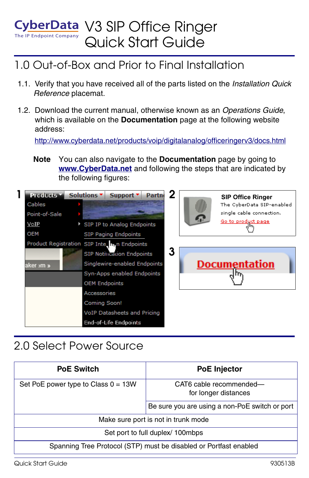#### The IP Endpoint Company CyberData V3 SIP Office Ringer Quick Start Guide

### 1.0 Out-of-Box and Prior to Final Installation

- 1.1. Verify that you have received all of the parts listed on the *Installation Quick Reference* placemat.
- 1.2. Download the current manual, otherwise known as an *Operations Guide*, which is available on the **Documentation** page at the following website address:

<http://www.cyberdata.net/products/voip/digitalanalog/officeringerv3/docs.html>

**Note** You can also navigate to the **Documentation** page by going to **<www.CyberData.net>** and following the steps that are indicated by the following figures:



# 2.0 Select Power Source

| <b>PoE Switch</b>                                                 | <b>PoE Injector</b>                             |  |
|-------------------------------------------------------------------|-------------------------------------------------|--|
| Set PoE power type to Class $0 = 13W$                             | CAT6 cable recommended-<br>for longer distances |  |
|                                                                   | Be sure you are using a non-PoE switch or port  |  |
| Make sure port is not in trunk mode                               |                                                 |  |
| Set port to full duplex/ 100mbps                                  |                                                 |  |
| Spanning Tree Protocol (STP) must be disabled or Portfast enabled |                                                 |  |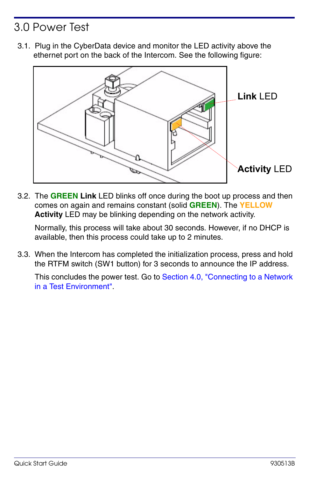## 3.0 Power Test

3.1. Plug in the CyberData device and monitor the LED activity above the ethernet port on the back of the Intercom. See the following figure:



3.2. The **GREEN Link** LED blinks off once during the boot up process and then comes on again and remains constant (solid **GREEN**). The **YELLOW Activity** LED may be blinking depending on the network activity.

Normally, this process will take about 30 seconds. However, if no DHCP is available, then this process could take up to 2 minutes.

3.3. When the Intercom has completed the initialization process, press and hold the RTFM switch (SW1 button) for 3 seconds to announce the IP address.

This concludes the power test. Go to [Section 4.0, "Connecting to a Network](#page-2-0)  [in a Test Environment".](#page-2-0)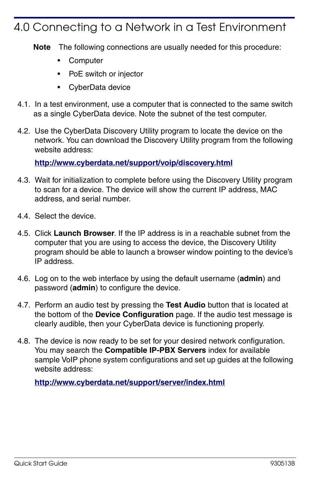#### <span id="page-2-0"></span>4.0 Connecting to a Network in a Test Environment

**Note** The following connections are usually needed for this procedure:

- **Computer**
- PoE switch or injector
- CyberData device
- 4.1. In a test environment, use a computer that is connected to the same switch as a single CyberData device. Note the subnet of the test computer.
- 4.2. Use the CyberData Discovery Utility program to locate the device on the network. You can download the Discovery Utility program from the following website address:

**<http://www.cyberdata.net/support/voip/discovery.html>**

- 4.3. Wait for initialization to complete before using the Discovery Utility program to scan for a device. The device will show the current IP address, MAC address, and serial number.
- 4.4. Select the device.
- 4.5. Click **Launch Browser**. If the IP address is in a reachable subnet from the computer that you are using to access the device, the Discovery Utility program should be able to launch a browser window pointing to the device's IP address.
- 4.6. Log on to the web interface by using the default username (**admin**) and password (**admin**) to configure the device.
- 4.7. Perform an audio test by pressing the **Test Audio** button that is located at the bottom of the **Device Configuration** page. If the audio test message is clearly audible, then your CyberData device is functioning properly.
- 4.8. The device is now ready to be set for your desired network configuration. You may search the **Compatible IP-PBX Servers** index for available sample VoIP phone system configurations and set up guides at the following website address:

**<http://www.cyberdata.net/support/server/index.html>**